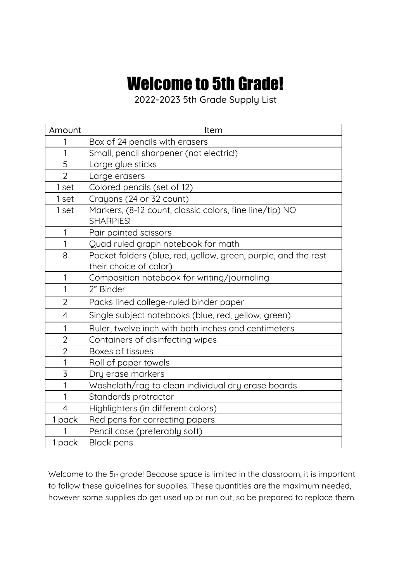## **Welcome to 5th Grade!**

2022-2023 5th Grade Supply List

| Amount         | Item                                                                        |
|----------------|-----------------------------------------------------------------------------|
| 1              | Box of 24 pencils with erasers                                              |
| 1              | Small, pencil sharpener (not electric!)                                     |
| 5              | Large glue sticks                                                           |
| $\overline{2}$ | Large erasers                                                               |
| 1 set          | Colored pencils (set of 12)                                                 |
| 1 set          | Crayons (24 or 32 count)                                                    |
| 1 set          | Markers, (8-12 count, classic colors, fine line/tip) NO<br><b>SHARPIES!</b> |
| 1              | Pair pointed scissors                                                       |
| 1              | Quad ruled graph notebook for math                                          |
| 8              | Pocket folders (blue, red, yellow, green, purple, and the rest              |
|                | their choice of color)                                                      |
| 1              | Composition notebook for writing/journaling                                 |
| 1              | 2" Binder                                                                   |
| $\overline{2}$ | Packs lined college-ruled binder paper                                      |
| $\overline{4}$ | Single subject notebooks (blue, red, yellow, green)                         |
| 1              | Ruler, twelve inch with both inches and centimeters                         |
| $\overline{2}$ | Containers of disinfecting wipes                                            |
| $\overline{2}$ | Boxes of tissues                                                            |
| 1              | Roll of paper towels                                                        |
| $\overline{3}$ | Dry erase markers                                                           |
| 1              | Washcloth/rag to clean individual dry erase boards                          |
| 1              | Standards protractor                                                        |
| 4              | Highlighters (in different colors)                                          |
| 1 pack         | Red pens for correcting papers                                              |
|                | Pencil case (preferably soft)                                               |
| 1 pack         | <b>Black pens</b>                                                           |

Welcome to the 5th grade! Because space is limited in the classroom, it is important to follow these guidelines for supplies. These quantities are the maximum needed, however some supplies do get used up or run out, so be prepared to replace them.